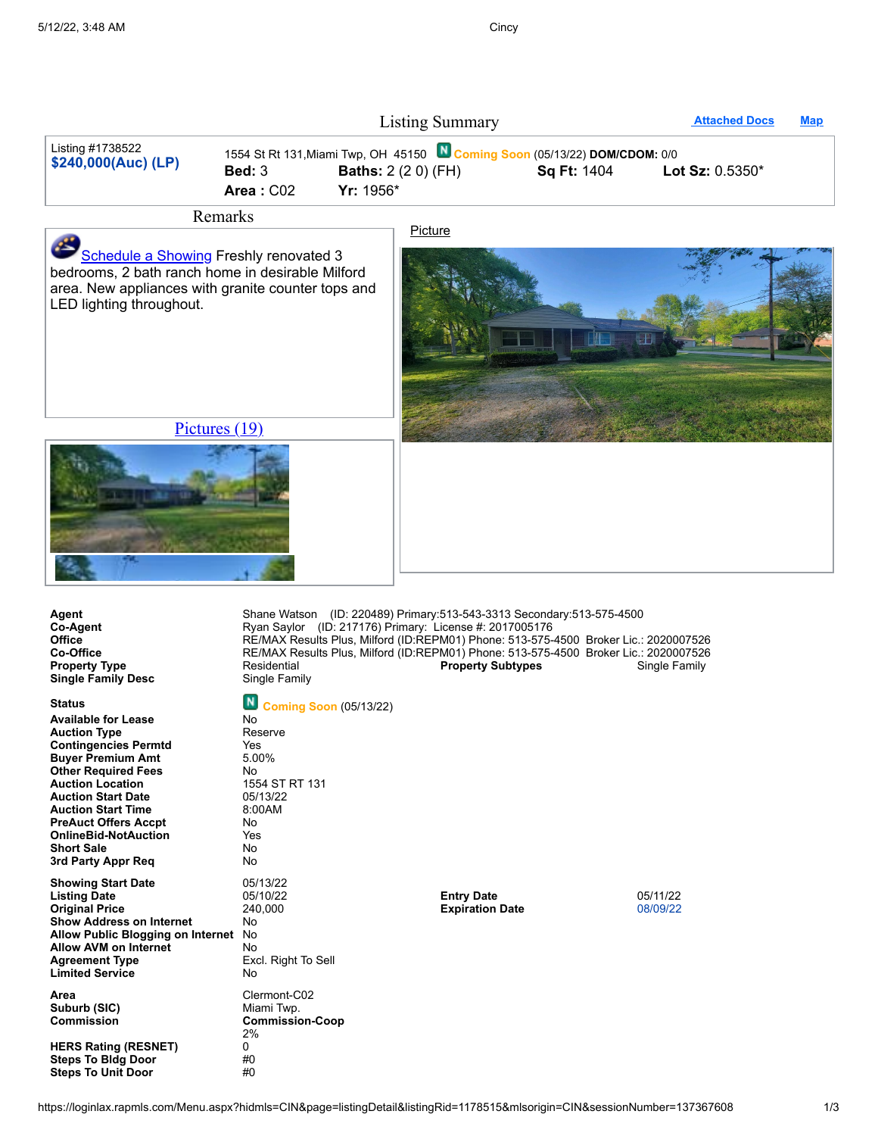|                                         |                                 | <b>Listing Summary</b>                                                                                                  |                    | <b>Attached Docs</b>     | <b>Map</b> |
|-----------------------------------------|---------------------------------|-------------------------------------------------------------------------------------------------------------------------|--------------------|--------------------------|------------|
| Listing #1738522<br>\$240,000(Auc) (LP) | $\text{Bed: } 3$<br>Area: $CO2$ | 1554 St Rt 131, Miami Twp, OH 45150 N Coming Soon (05/13/22) DOM/CDOM: 0/0<br><b>Baths:</b> 2 (2 0) (FH)<br>$Yr: 1956*$ | <b>Sq Ft: 1404</b> | <b>Lot Sz:</b> $0.5350*$ |            |
| $\mathbf{r}$                            |                                 |                                                                                                                         |                    |                          |            |

Remarks

[Schedule](https://schedulingsso.showingtime.com/external?site=RAP%2ECIN%2EI&broker=RE/MAX%20Results%20Plus,%20Milford&mlsid=CIN&mlspropid=1738522&paddr=1554%20St%20Rt%20131&pcity=Miami%20Twp&pstate=OH&pzip=45150&price=240,000(Auc)&lagid=220489&lafn=Shane&laln=Watson&laph=513-543-3313&mlsofficeid=REPM01&ozip=45150-2155&source=D&raid=220489&rafn=Shane&raln=Watson&raeml=Shane@ShaneWatsonSells.com&raofficeid=REPM01&rabroker=RE/MAX%20Results%20Plus,%20Milford&raph=&laeml=Shane@ShaneWatsonSells.com&lassn=CIN) a Showing Freshly renovated 3 bedrooms, 2 bath ranch home in desirable Milford area. New appliances with granite counter tops and

LED lighting throughout.

**[Picture](javascript:void(0);)** 



[Pictures \(19\)](javascript:void(0))



| Agent<br>Co-Agent<br><b>Office</b><br>Co-Office<br><b>Property Type</b><br><b>Single Family Desc</b> | Shane Watson (ID: 220489) Primary:513-543-3313 Secondary:513-575-4500<br>Ryan Saylor (ID: 217176) Primary: License #: 2017005176<br>RE/MAX Results Plus, Milford (ID:REPM01) Phone: 513-575-4500 Broker Lic.: 2020007526<br>RE/MAX Results Plus, Milford (ID:REPM01) Phone: 513-575-4500 Broker Lic.: 2020007526<br>Residential<br>Single Family | <b>Property Subtypes</b> | Single Family |
|------------------------------------------------------------------------------------------------------|--------------------------------------------------------------------------------------------------------------------------------------------------------------------------------------------------------------------------------------------------------------------------------------------------------------------------------------------------|--------------------------|---------------|
| <b>Status</b><br><b>Available for Lease</b>                                                          | <b>N</b> Coming Soon (05/13/22)<br>No                                                                                                                                                                                                                                                                                                            |                          |               |

**Auction Type** Reserve **Contingencies Permtd** Yes **Buyer Premium Amt** 5.00% **Other Required Fees** No **Auction Location Auction Start Date Auction Start Time PreAuct Offers Accpt OnlineBid-NotAuction Short** Sale **3rd Party Appr Req Showing Start Date** 05/13/22

**Listing Date** 05/10/22 **Entry Date** 05/11/22 **Original Price** 240,000 **Expiration Date** 08/09/22 **Show Address on Internet Allow Public Blogging on Internet Allow AVM** on Internet **Agreement Type Limited Service** Area **Suburb** (SIC)

**HERS** Rating (RESNET) **Steps** To **Bldg** Door **Steps To Unit Door** #0

| <b>Buyer Premium Amt</b>          | 5.00%                  |
|-----------------------------------|------------------------|
| <b>Other Required Fees</b>        | N٥                     |
| <b>Auction Location</b>           | 1554 ST RT 131         |
| <b>Auction Start Date</b>         | 05/13/22               |
| <b>Auction Start Time</b>         | 8:00AM                 |
| <b>PreAuct Offers Accpt</b>       | N٥                     |
| <b>OnlineBid-NotAuction</b>       | Yes                    |
| <b>Short Sale</b>                 | No                     |
| 3rd Party Appr Req                | No                     |
| <b>Showing Start Date</b>         | 05/13/22               |
| <b>Listing Date</b>               | 05/10/22               |
| <b>Original Price</b>             | 240,000                |
| <b>Show Address on Internet</b>   | No                     |
| Allow Public Blogging on Internet | No                     |
| <b>Allow AVM on Internet</b>      | No                     |
| <b>Agreement Type</b>             | Excl. Right To Sell    |
| <b>Limited Service</b>            | No                     |
| Area                              | Clermont-C02           |
| Suburb (SIC)                      | Miami Twp.             |
| <b>Commission</b>                 | <b>Commission-Coop</b> |
|                                   | 2%                     |
| <b>HERS Rating (RESNET)</b>       | 0                      |
| <b>Steps To Bidg Door</b>         | #0                     |
| 04 T. U.U.D.                      | ⊥∩                     |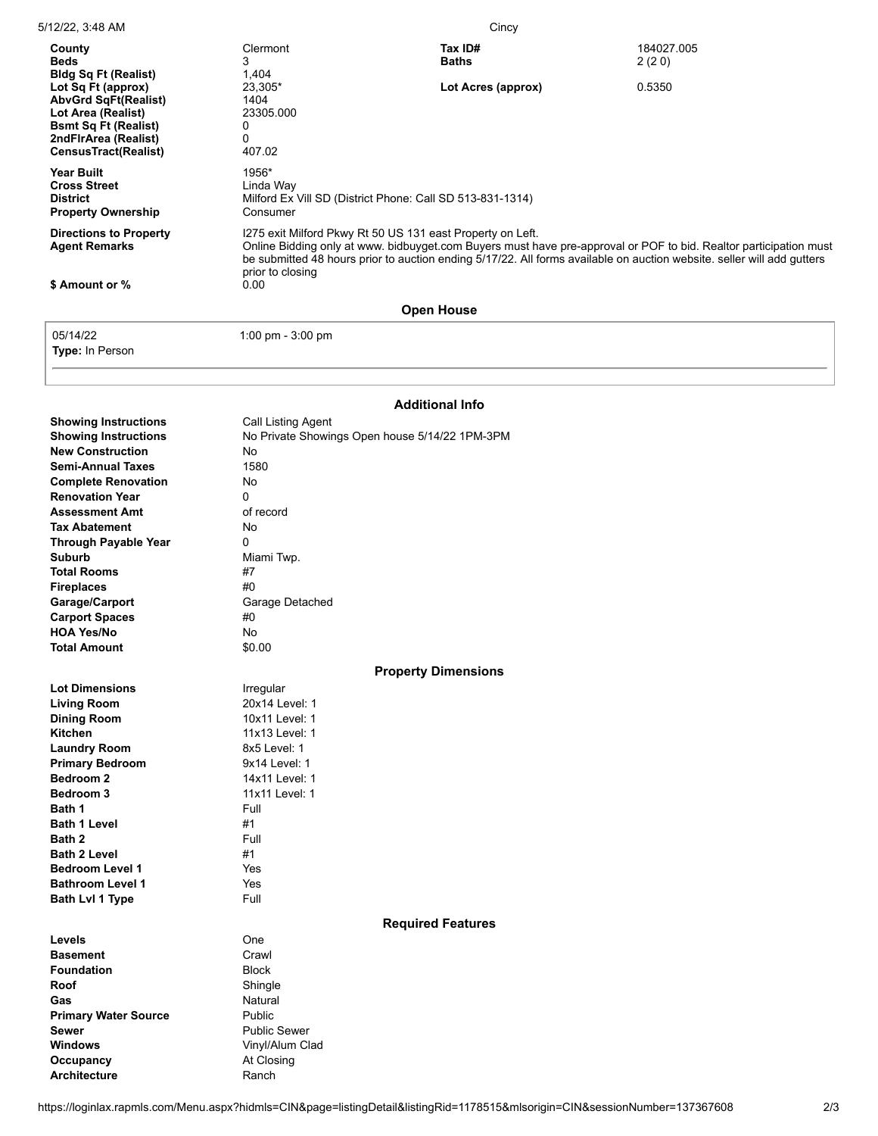| County<br><b>Beds</b><br><b>Bldg Sq Ft (Realist)</b>                                                                                                          | Clermont<br>3<br>1,404                                                                                                                                                                                                                                                                                                                | Tax ID#<br><b>Baths</b> | 184027.005<br>2(20) |
|---------------------------------------------------------------------------------------------------------------------------------------------------------------|---------------------------------------------------------------------------------------------------------------------------------------------------------------------------------------------------------------------------------------------------------------------------------------------------------------------------------------|-------------------------|---------------------|
| Lot Sq Ft (approx)<br><b>AbvGrd SqFt(Realist)</b><br>Lot Area (Realist)<br><b>Bsmt Sq Ft (Realist)</b><br>2ndFirArea (Realist)<br><b>CensusTract(Realist)</b> | 23,305*<br>1404<br>23305.000<br>0<br>0<br>407.02                                                                                                                                                                                                                                                                                      | Lot Acres (approx)      | 0.5350              |
| <b>Year Built</b><br><b>Cross Street</b><br><b>District</b><br><b>Property Ownership</b>                                                                      | 1956*<br>Linda Way<br>Milford Ex Vill SD (District Phone: Call SD 513-831-1314)<br>Consumer                                                                                                                                                                                                                                           |                         |                     |
| <b>Directions to Property</b><br><b>Agent Remarks</b><br>\$ Amount or %                                                                                       | I275 exit Milford Pkwy Rt 50 US 131 east Property on Left.<br>Online Bidding only at www. bidbuyget.com Buyers must have pre-approval or POF to bid. Realtor participation must<br>be submitted 48 hours prior to auction ending 5/17/22. All forms available on auction website, seller will add gutters<br>prior to closing<br>0.00 |                         |                     |
| <b>Open House</b>                                                                                                                                             |                                                                                                                                                                                                                                                                                                                                       |                         |                     |

**Type:** In Person

05/14/22 1:00 pm - 3:00 pm

## **Additional Info**

| <b>Showing Instructions</b><br><b>Showing Instructions</b><br><b>New Construction</b><br><b>Semi-Annual Taxes</b><br><b>Complete Renovation</b><br><b>Renovation Year</b><br><b>Assessment Amt</b><br><b>Tax Abatement</b><br><b>Through Payable Year</b><br><b>Suburb</b><br><b>Total Rooms</b><br><b>Fireplaces</b><br>Garage/Carport<br><b>Carport Spaces</b><br><b>HOA Yes/No</b> | <b>Call Listing Agent</b><br>No Private Showings Open house 5/14/22 1PM-3PM<br>No<br>1580<br><b>No</b><br>0<br>of record<br>No<br>0<br>Miami Twp.<br>#7<br>#0<br>Garage Detached<br>#0<br>No |
|---------------------------------------------------------------------------------------------------------------------------------------------------------------------------------------------------------------------------------------------------------------------------------------------------------------------------------------------------------------------------------------|----------------------------------------------------------------------------------------------------------------------------------------------------------------------------------------------|
| <b>Total Amount</b>                                                                                                                                                                                                                                                                                                                                                                   | \$0.00                                                                                                                                                                                       |
|                                                                                                                                                                                                                                                                                                                                                                                       | <b>Property Dimensions</b>                                                                                                                                                                   |
| <b>Lot Dimensions</b>                                                                                                                                                                                                                                                                                                                                                                 | Irregular                                                                                                                                                                                    |
| <b>Living Room</b>                                                                                                                                                                                                                                                                                                                                                                    | 20x14 Level: 1                                                                                                                                                                               |
| <b>Dining Room</b>                                                                                                                                                                                                                                                                                                                                                                    | 10x11 Level: 1                                                                                                                                                                               |
| <b>Kitchen</b>                                                                                                                                                                                                                                                                                                                                                                        | 11x13 Level: 1                                                                                                                                                                               |
| <b>Laundry Room</b>                                                                                                                                                                                                                                                                                                                                                                   | 8x5 Level: 1                                                                                                                                                                                 |
| <b>Primary Bedroom</b>                                                                                                                                                                                                                                                                                                                                                                | 9x14 Level: 1                                                                                                                                                                                |
| <b>Bedroom 2</b>                                                                                                                                                                                                                                                                                                                                                                      | 14x11 Level: 1                                                                                                                                                                               |
| Bedroom 3                                                                                                                                                                                                                                                                                                                                                                             | 11x11 Level: 1                                                                                                                                                                               |
| Bath 1                                                                                                                                                                                                                                                                                                                                                                                | Full                                                                                                                                                                                         |
| <b>Bath 1 Level</b>                                                                                                                                                                                                                                                                                                                                                                   | #1                                                                                                                                                                                           |
| Bath 2                                                                                                                                                                                                                                                                                                                                                                                | Full<br>#1                                                                                                                                                                                   |
| <b>Bath 2 Level</b>                                                                                                                                                                                                                                                                                                                                                                   | Yes                                                                                                                                                                                          |
| <b>Bedroom Level 1</b>                                                                                                                                                                                                                                                                                                                                                                |                                                                                                                                                                                              |
| <b>Bathroom Level 1</b>                                                                                                                                                                                                                                                                                                                                                               | Yes<br>Full                                                                                                                                                                                  |
| Bath Lvl 1 Type                                                                                                                                                                                                                                                                                                                                                                       |                                                                                                                                                                                              |
|                                                                                                                                                                                                                                                                                                                                                                                       | <b>Required Features</b>                                                                                                                                                                     |
| Levels                                                                                                                                                                                                                                                                                                                                                                                | One                                                                                                                                                                                          |
| <b>Basement</b>                                                                                                                                                                                                                                                                                                                                                                       | Crawl                                                                                                                                                                                        |
| <b>Foundation</b>                                                                                                                                                                                                                                                                                                                                                                     | <b>Block</b>                                                                                                                                                                                 |
| Roof                                                                                                                                                                                                                                                                                                                                                                                  | Shingle                                                                                                                                                                                      |
| Gas                                                                                                                                                                                                                                                                                                                                                                                   | Natural                                                                                                                                                                                      |
| <b>Primary Water Source</b>                                                                                                                                                                                                                                                                                                                                                           | Public                                                                                                                                                                                       |
| Sewer                                                                                                                                                                                                                                                                                                                                                                                 | <b>Public Sewer</b>                                                                                                                                                                          |
| <b>Windows</b>                                                                                                                                                                                                                                                                                                                                                                        | Vinyl/Alum Clad                                                                                                                                                                              |
| Occupancy                                                                                                                                                                                                                                                                                                                                                                             | At Closing                                                                                                                                                                                   |
| <b>Architecture</b>                                                                                                                                                                                                                                                                                                                                                                   | Ranch                                                                                                                                                                                        |